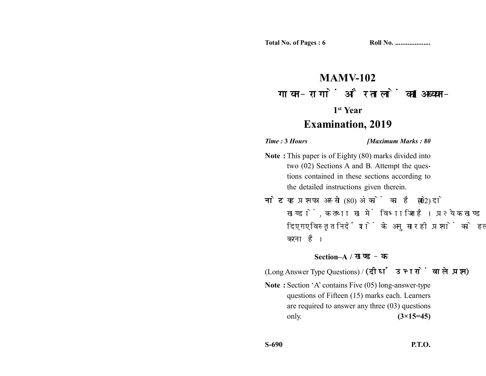# **MAMV-102** गायन-रागों और तालों का अध्ययन-I

### **1st Year**

## **Examination, 2019**

*Time :* **3** *Hours [Maximum Marks : 80*

- **Note :** This paper is of Eighty (80) marks divided into two (02) Sections A and B. Attempt the questions contained in these sections according to the detailed instructions given therein.
- नोट: यह प्रश्नपत्र अस्सी (80) अंकों का है जो दो (02) खण्डों, क तथा ख में विभाजित है। प्रत्येक खण्ड में दिए गए विस्तृत निर्देशों के अनुसार ही प्रश्नों को हल करना है।

### **Section–A /**

(Long Answer Type Questions) / (दीर्घ उत्तरों वाले प्रश्न)

**Note :** Section 'A' contains Five (05) long-answer-type questions of Fifteen (15) marks each. Learners are required to answer any three (03) questions only. **(3×15=45)**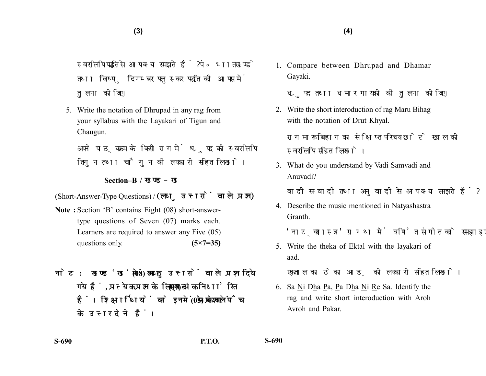स्वरलिपि पद्धति से आप क्या समझते हैं ? पं॰ भातखण्डे तथा विष्ण दिगम्बर पलस्कर पद्धति की आपस में तुलना कीजिए।

5. Write the notation of Dhrupad in any rag from your syllabus with the Layakari of Tigun and Chaugun.

अपने पाठयक्रम के किसी राग में ध्रपद की स्वरलिपि तिगन तथा चौगन की लयकारी सहित लिखो।

#### **Section–B /**

(Short-Answer-Type Questions) / (लघु उत्तरों वाले प्रश्न)

- **Note :** Section 'B' contains Eight (08) short-answertype questions of Seven (07) marks each. Learners are required to answer any Five (05) questions only. **(5×7=35)**
- नोट: खण्ड'ख'में आठ (08) लघु उत्तरों वाले प्रश्न दिये गये हैं. प्रत्येक प्रश्न के लिए सात (07) अंक निर्धारित हैं। शिक्षार्थियों को इनमें से केवल पाँच (05) प्रश्नों के उत्तर देने हैं।

1. Compare between Dhrupad and Dhamar Gayaki.

ध्रुपद तथा धमार गायकी की तुलना कीजिए।

2. Write the short interoduction of rag Maru Bihag with the notation of Drut Khyal.

राग मारू बिहाग का संक्षिप्त परिचय छोटे ख्याल की स्वरलिपि सहित लिखो।

3. What do you understand by Vadi Samvadi and Anuvadi?

वादी सम्वादी तथा अनुवादी से आप क्या समझते हैं?

4. Describe the music mentioned in Natyashastra Granth.

'नाटयशास्त्र' ग्रन्थ में वर्णित संगीत को समझाइए।

5. Write the theka of Ektal with the layakari of aad.

एकताल का ठेका आड की लयकारी सहित लिखो।

6. Sa Ni Dha Pa, Pa Dha Ni Re Sa. Identify the rag and write short interoduction with Aroh Avroh and Pakar.